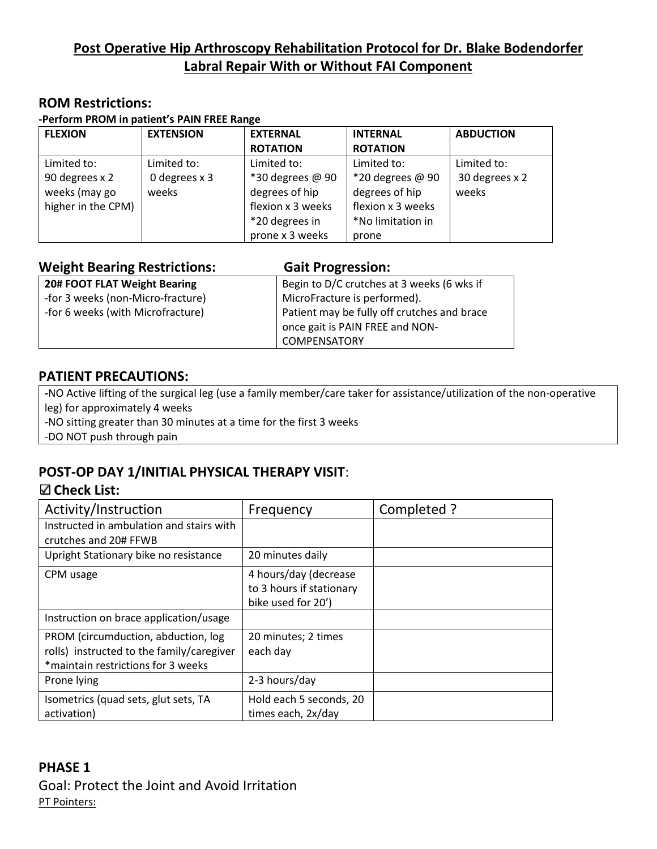# **Post Operative Hip Arthroscopy Rehabilitation Protocol for Dr. Blake Bodendorfer Labral Repair With or Without FAI Component**

#### **ROM Restrictions:**

#### **-Perform PROM in patient's PAIN FREE Range**

| <b>FLEXION</b>     | <b>EXTENSION</b> | <b>EXTERNAL</b>   | <b>INTERNAL</b>   | <b>ABDUCTION</b> |
|--------------------|------------------|-------------------|-------------------|------------------|
|                    |                  | <b>ROTATION</b>   | <b>ROTATION</b>   |                  |
| Limited to:        | Limited to:      | Limited to:       | Limited to:       | Limited to:      |
| 90 degrees x 2     | 0 degrees x 3    | *30 degrees @ 90  | *20 degrees @ 90  | 30 degrees x 2   |
| weeks (may go      | weeks            | degrees of hip    | degrees of hip    | weeks            |
| higher in the CPM) |                  | flexion x 3 weeks | flexion x 3 weeks |                  |
|                    |                  | *20 degrees in    | *No limitation in |                  |
|                    |                  | prone x 3 weeks   | prone             |                  |

| <b>Weight Bearing Restrictions:</b> | <b>Gait Progression:</b>                    |
|-------------------------------------|---------------------------------------------|
| 20# FOOT FLAT Weight Bearing        | Begin to D/C crutches at 3 weeks (6 wks if  |
| -for 3 weeks (non-Micro-fracture)   | MicroFracture is performed).                |
| -for 6 weeks (with Microfracture)   | Patient may be fully off crutches and brace |
|                                     | once gait is PAIN FREE and NON-             |
|                                     | COMPENSATORY                                |

#### **PATIENT PRECAUTIONS:**

**-**NO Active lifting of the surgical leg (use a family member/care taker for assistance/utilization of the non-operative leg) for approximately 4 weeks

-NO sitting greater than 30 minutes at a time for the first 3 weeks

-DO NOT push through pain

## **POST-OP DAY 1/INITIAL PHYSICAL THERAPY VISIT**:

#### **Check List:**

| Activity/Instruction                      | Frequency                | Completed ? |
|-------------------------------------------|--------------------------|-------------|
| Instructed in ambulation and stairs with  |                          |             |
| crutches and 20# FFWB                     |                          |             |
| Upright Stationary bike no resistance     | 20 minutes daily         |             |
| CPM usage                                 | 4 hours/day (decrease    |             |
|                                           | to 3 hours if stationary |             |
|                                           | bike used for 20')       |             |
| Instruction on brace application/usage    |                          |             |
| PROM (circumduction, abduction, log       | 20 minutes; 2 times      |             |
| rolls) instructed to the family/caregiver | each day                 |             |
| *maintain restrictions for 3 weeks        |                          |             |
| Prone lying                               | 2-3 hours/day            |             |
| Isometrics (quad sets, glut sets, TA      | Hold each 5 seconds, 20  |             |
| activation)                               | times each, 2x/day       |             |

### **PHASE 1**

Goal: Protect the Joint and Avoid Irritation PT Pointers: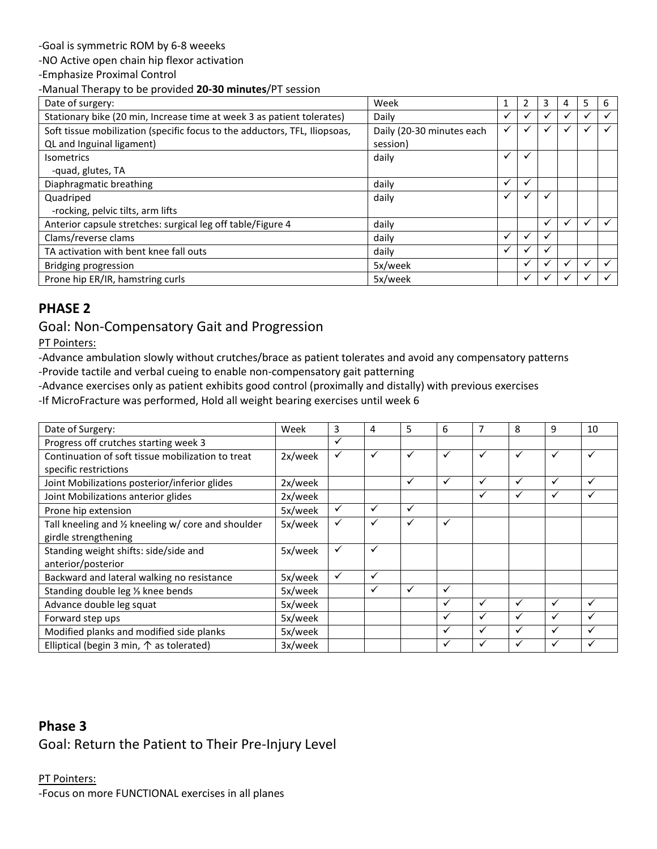-Goal is symmetric ROM by 6-8 weeeks

-NO Active open chain hip flexor activation

-Emphasize Proximal Control

-Manual Therapy to be provided **20-30 minutes**/PT session

| Date of surgery:                                                           | Week                      |   |                      | 3            | 5            | 6 |
|----------------------------------------------------------------------------|---------------------------|---|----------------------|--------------|--------------|---|
| Stationary bike (20 min, Increase time at week 3 as patient tolerates)     | Daily                     | ✓ | v                    | $\checkmark$ | ✓            |   |
| Soft tissue mobilization (specific focus to the adductors, TFL, Iliopsoas, | Daily (20-30 minutes each | ✓ |                      |              |              |   |
| QL and Inguinal ligament)                                                  | session)                  |   |                      |              |              |   |
| <b>Isometrics</b>                                                          | daily                     | ✓ |                      |              |              |   |
| -quad, glutes, TA                                                          |                           |   |                      |              |              |   |
| Diaphragmatic breathing                                                    | daily                     | ✓ | ✓                    |              |              |   |
| Quadriped                                                                  | daily                     | ✓ |                      |              |              |   |
| -rocking, pelvic tilts, arm lifts                                          |                           |   |                      |              |              |   |
| Anterior capsule stretches: surgical leg off table/Figure 4                | daily                     |   |                      | $\checkmark$ | $\checkmark$ |   |
| Clams/reverse clams                                                        | daily                     | ✔ |                      |              |              |   |
| TA activation with bent knee fall outs                                     | daily                     | ✓ |                      |              |              |   |
| Bridging progression                                                       | 5x/week                   |   | $\ddot{\phantom{0}}$ |              | v            |   |
| Prone hip ER/IR, hamstring curls                                           | 5x/week                   |   |                      |              |              |   |

### **PHASE 2**

#### Goal: Non-Compensatory Gait and Progression

PT Pointers:

-Advance ambulation slowly without crutches/brace as patient tolerates and avoid any compensatory patterns -Provide tactile and verbal cueing to enable non-compensatory gait patterning

-Advance exercises only as patient exhibits good control (proximally and distally) with previous exercises

-If MicroFracture was performed, Hold all weight bearing exercises until week 6

| Date of Surgery:                                    | Week    | 3            | 4            | 5            | 6            |   | 8            | 9            | 10 |
|-----------------------------------------------------|---------|--------------|--------------|--------------|--------------|---|--------------|--------------|----|
| Progress off crutches starting week 3               |         | $\checkmark$ |              |              |              |   |              |              |    |
| Continuation of soft tissue mobilization to treat   | 2x/week | ✓            | ✓            | $\checkmark$ | $\checkmark$ | ✓ | $\checkmark$ | $\checkmark$ |    |
| specific restrictions                               |         |              |              |              |              |   |              |              |    |
| Joint Mobilizations posterior/inferior glides       | 2x/week |              |              | $\checkmark$ | $\checkmark$ | ✓ | ✓            | $\checkmark$ |    |
| Joint Mobilizations anterior glides                 | 2x/week |              |              |              |              | ✓ | ✓            | $\checkmark$ |    |
| Prone hip extension                                 | 5x/week | $\checkmark$ | ✓            | $\checkmark$ |              |   |              |              |    |
| Tall kneeling and 1/2 kneeling w/ core and shoulder | 5x/week | ✓            | ✓            | ✓            | $\checkmark$ |   |              |              |    |
| girdle strengthening                                |         |              |              |              |              |   |              |              |    |
| Standing weight shifts: side/side and               | 5x/week | ✓            | $\checkmark$ |              |              |   |              |              |    |
| anterior/posterior                                  |         |              |              |              |              |   |              |              |    |
| Backward and lateral walking no resistance          | 5x/week | $\checkmark$ | ✓            |              |              |   |              |              |    |
| Standing double leg 1/ <sub>3</sub> knee bends      | 5x/week |              |              | ✓            | $\checkmark$ |   |              |              |    |
| Advance double leg squat                            | 5x/week |              |              |              | $\checkmark$ | ✓ | ✓            | $\checkmark$ |    |
| Forward step ups                                    | 5x/week |              |              |              | $\checkmark$ | ✓ | ✓            |              |    |
| Modified planks and modified side planks            | 5x/week |              |              |              | $\checkmark$ | ✓ | ✓            | $\checkmark$ |    |
| Elliptical (begin 3 min, $\uparrow$ as tolerated)   | 3x/week |              |              |              | $\checkmark$ | ✓ | ✓            |              |    |

## **Phase 3** Goal: Return the Patient to Their Pre-Injury Level

#### PT Pointers: -Focus on more FUNCTIONAL exercises in all planes